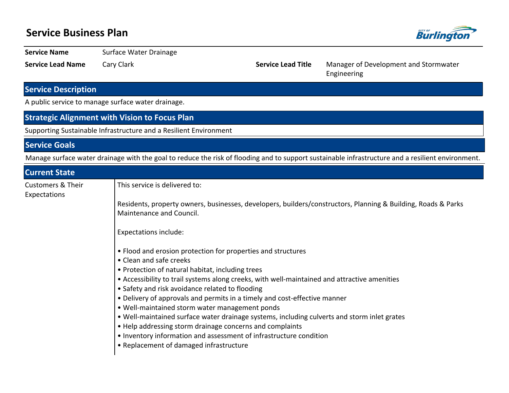## **Service Business Plan**



**Service Name** Surface Water Drainage

**Service Lead Name** Cary Clark **Cary Clark <b>Service Lead Title** Manager of Development and Stormwater Engineering

### **Service Description**

A public service to manage surface water drainage.

Supporting Sustainable Infrastructure and a Resilient Environment

#### **Service Goals**

Manage surface water drainage with the goal to reduce the risk of flooding and to support sustainable infrastructure and a resilient environment.

| <b>Current State</b>                         |                                                                                                               |  |  |  |  |  |
|----------------------------------------------|---------------------------------------------------------------------------------------------------------------|--|--|--|--|--|
| <b>Customers &amp; Their</b><br>Expectations | This service is delivered to:                                                                                 |  |  |  |  |  |
|                                              | Residents, property owners, businesses, developers, builders/constructors, Planning & Building, Roads & Parks |  |  |  |  |  |
|                                              | Maintenance and Council.                                                                                      |  |  |  |  |  |
|                                              | <b>Expectations include:</b>                                                                                  |  |  |  |  |  |
|                                              | • Flood and erosion protection for properties and structures                                                  |  |  |  |  |  |
|                                              | • Clean and safe creeks                                                                                       |  |  |  |  |  |
|                                              | • Protection of natural habitat, including trees                                                              |  |  |  |  |  |
|                                              | • Accessibility to trail systems along creeks, with well-maintained and attractive amenities                  |  |  |  |  |  |
|                                              | • Safety and risk avoidance related to flooding                                                               |  |  |  |  |  |
|                                              | • Delivery of approvals and permits in a timely and cost-effective manner                                     |  |  |  |  |  |
|                                              | . Well-maintained storm water management ponds                                                                |  |  |  |  |  |
|                                              | . Well-maintained surface water drainage systems, including culverts and storm inlet grates                   |  |  |  |  |  |
|                                              | • Help addressing storm drainage concerns and complaints                                                      |  |  |  |  |  |
|                                              | • Inventory information and assessment of infrastructure condition                                            |  |  |  |  |  |
|                                              | • Replacement of damaged infrastructure                                                                       |  |  |  |  |  |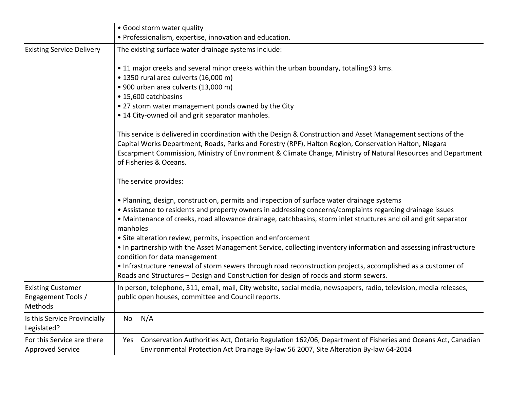|                                                           | • Good storm water quality                                                                                                                                                                                                                                                                                                              |  |  |  |  |  |  |
|-----------------------------------------------------------|-----------------------------------------------------------------------------------------------------------------------------------------------------------------------------------------------------------------------------------------------------------------------------------------------------------------------------------------|--|--|--|--|--|--|
|                                                           | · Professionalism, expertise, innovation and education.                                                                                                                                                                                                                                                                                 |  |  |  |  |  |  |
| <b>Existing Service Delivery</b>                          | The existing surface water drainage systems include:                                                                                                                                                                                                                                                                                    |  |  |  |  |  |  |
|                                                           | • 11 major creeks and several minor creeks within the urban boundary, totalling 93 kms.                                                                                                                                                                                                                                                 |  |  |  |  |  |  |
|                                                           | • 1350 rural area culverts (16,000 m)                                                                                                                                                                                                                                                                                                   |  |  |  |  |  |  |
|                                                           | · 900 urban area culverts (13,000 m)                                                                                                                                                                                                                                                                                                    |  |  |  |  |  |  |
|                                                           | • 15,600 catchbasins                                                                                                                                                                                                                                                                                                                    |  |  |  |  |  |  |
|                                                           | • 27 storm water management ponds owned by the City                                                                                                                                                                                                                                                                                     |  |  |  |  |  |  |
|                                                           | • 14 City-owned oil and grit separator manholes.                                                                                                                                                                                                                                                                                        |  |  |  |  |  |  |
|                                                           | This service is delivered in coordination with the Design & Construction and Asset Management sections of the<br>Capital Works Department, Roads, Parks and Forestry (RPF), Halton Region, Conservation Halton, Niagara                                                                                                                 |  |  |  |  |  |  |
|                                                           | Escarpment Commission, Ministry of Environment & Climate Change, Ministry of Natural Resources and Department<br>of Fisheries & Oceans.                                                                                                                                                                                                 |  |  |  |  |  |  |
|                                                           | The service provides:                                                                                                                                                                                                                                                                                                                   |  |  |  |  |  |  |
|                                                           | . Planning, design, construction, permits and inspection of surface water drainage systems<br>• Assistance to residents and property owners in addressing concerns/complaints regarding drainage issues<br>• Maintenance of creeks, road allowance drainage, catchbasins, storm inlet structures and oil and grit separator<br>manholes |  |  |  |  |  |  |
|                                                           | • Site alteration review, permits, inspection and enforcement                                                                                                                                                                                                                                                                           |  |  |  |  |  |  |
|                                                           | • In partnership with the Asset Management Service, collecting inventory information and assessing infrastructure<br>condition for data management                                                                                                                                                                                      |  |  |  |  |  |  |
|                                                           | • Infrastructure renewal of storm sewers through road reconstruction projects, accomplished as a customer of<br>Roads and Structures - Design and Construction for design of roads and storm sewers.                                                                                                                                    |  |  |  |  |  |  |
| <b>Existing Customer</b><br>Engagement Tools /<br>Methods | In person, telephone, 311, email, mail, City website, social media, newspapers, radio, television, media releases,<br>public open houses, committee and Council reports.                                                                                                                                                                |  |  |  |  |  |  |
| Is this Service Provincially<br>Legislated?               | N/A<br>No                                                                                                                                                                                                                                                                                                                               |  |  |  |  |  |  |
| For this Service are there<br><b>Approved Service</b>     | Conservation Authorities Act, Ontario Regulation 162/06, Department of Fisheries and Oceans Act, Canadian<br>Yes<br>Environmental Protection Act Drainage By-law 56 2007, Site Alteration By-law 64-2014                                                                                                                                |  |  |  |  |  |  |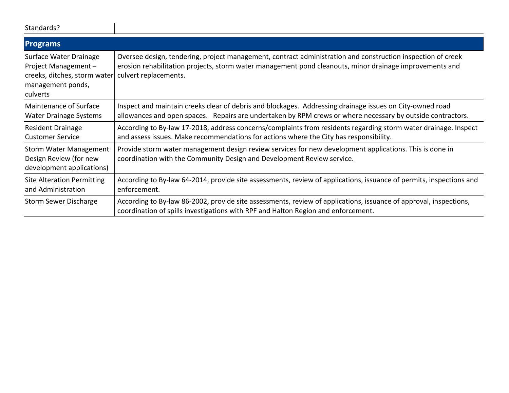| Standards? |  |
|------------|--|
|------------|--|

| <b>Programs</b>                                                                                                |                                                                                                                                                                                                                                                 |
|----------------------------------------------------------------------------------------------------------------|-------------------------------------------------------------------------------------------------------------------------------------------------------------------------------------------------------------------------------------------------|
| Surface Water Drainage<br>Project Management-<br>creeks, ditches, storm water<br>management ponds,<br>culverts | Oversee design, tendering, project management, contract administration and construction inspection of creek<br>erosion rehabilitation projects, storm water management pond cleanouts, minor drainage improvements and<br>culvert replacements. |
| Maintenance of Surface<br>Water Drainage Systems                                                               | Inspect and maintain creeks clear of debris and blockages. Addressing drainage issues on City-owned road<br>allowances and open spaces. Repairs are undertaken by RPM crews or where necessary by outside contractors.                          |
| <b>Resident Drainage</b><br><b>Customer Service</b>                                                            | According to By-law 17-2018, address concerns/complaints from residents regarding storm water drainage. Inspect<br>and assess issues. Make recommendations for actions where the City has responsibility.                                       |
| <b>Storm Water Management</b><br>Design Review (for new<br>development applications)                           | Provide storm water management design review services for new development applications. This is done in<br>coordination with the Community Design and Development Review service.                                                               |
| <b>Site Alteration Permitting</b><br>and Administration                                                        | According to By-law 64-2014, provide site assessments, review of applications, issuance of permits, inspections and<br>enforcement.                                                                                                             |
| Storm Sewer Discharge                                                                                          | According to By-law 86-2002, provide site assessments, review of applications, issuance of approval, inspections,<br>coordination of spills investigations with RPF and Halton Region and enforcement.                                          |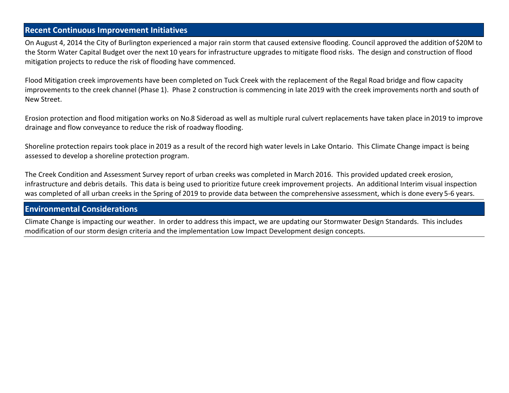#### **Recent Continuous Improvement Initiatives**

On August 4, 2014 the City of Burlington experienced a major rain storm that caused extensive flooding. Council approved the addition of \$20M to the Storm Water Capital Budget over the next 10 years for infrastructure upgrades to mitigate flood risks. The design and construction of flood mitigation projects to reduce the risk of flooding have commenced.

Flood Mitigation creek improvements have been completed on Tuck Creek with the replacement of the Regal Road bridge and flow capacity improvements to the creek channel (Phase 1). Phase 2 construction is commencing in late 2019 with the creek improvements north and south of New Street.

Erosion protection and flood mitigation works on No.8 Sideroad as well as multiple rural culvert replacements have taken place in 2019 to improve drainage and flow conveyance to reduce the risk of roadway flooding.

Shoreline protection repairs took place in 2019 as a result of the record high water levels in Lake Ontario. This Climate Change impact is being assessed to develop a shoreline protection program.

The Creek Condition and Assessment Survey report of urban creeks was completed in March 2016. This provided updated creek erosion, infrastructure and debris details. This data is being used to prioritize future creek improvement projects. An additional Interim visual inspection was completed of all urban creeks in the Spring of 2019 to provide data between the comprehensive assessment, which is done every 5-6 years.

#### **Environmental Considerations**

Climate Change is impacting our weather. In order to address this impact, we are updating our Stormwater Design Standards. This includes modification of our storm design criteria and the implementation Low Impact Development design concepts.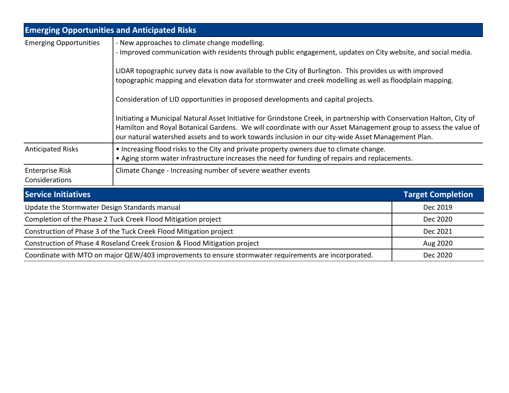| <b>Emerging Opportunities and Anticipated Risks</b>                                                   |                                                                                                                                                                                                                                                                                                                                                 |                          |  |  |  |  |  |
|-------------------------------------------------------------------------------------------------------|-------------------------------------------------------------------------------------------------------------------------------------------------------------------------------------------------------------------------------------------------------------------------------------------------------------------------------------------------|--------------------------|--|--|--|--|--|
| <b>Emerging Opportunities</b>                                                                         | - New approaches to climate change modelling.<br>- Improved communication with residents through public engagement, updates on City website, and social media.                                                                                                                                                                                  |                          |  |  |  |  |  |
|                                                                                                       | LIDAR topographic survey data is now available to the City of Burlington. This provides us with improved<br>topographic mapping and elevation data for stormwater and creek modelling as well as floodplain mapping.<br>Consideration of LID opportunities in proposed developments and capital projects.                                       |                          |  |  |  |  |  |
|                                                                                                       |                                                                                                                                                                                                                                                                                                                                                 |                          |  |  |  |  |  |
|                                                                                                       | Initiating a Municipal Natural Asset Initiative for Grindstone Creek, in partnership with Conservation Halton, City of<br>Hamilton and Royal Botanical Gardens. We will coordinate with our Asset Management group to assess the value of<br>our natural watershed assets and to work towards inclusion in our city-wide Asset Management Plan. |                          |  |  |  |  |  |
| <b>Anticipated Risks</b>                                                                              | • Increasing flood risks to the City and private property owners due to climate change.<br>• Aging storm water infrastructure increases the need for funding of repairs and replacements.                                                                                                                                                       |                          |  |  |  |  |  |
| <b>Enterprise Risk</b><br>Considerations                                                              | Climate Change - Increasing number of severe weather events                                                                                                                                                                                                                                                                                     |                          |  |  |  |  |  |
| <b>Service Initiatives</b>                                                                            |                                                                                                                                                                                                                                                                                                                                                 | <b>Target Completion</b> |  |  |  |  |  |
| Update the Stormwater Design Standards manual                                                         | Dec 2019                                                                                                                                                                                                                                                                                                                                        |                          |  |  |  |  |  |
| Completion of the Phase 2 Tuck Creek Flood Mitigation project                                         | Dec 2020                                                                                                                                                                                                                                                                                                                                        |                          |  |  |  |  |  |
| Construction of Phase 3 of the Tuck Creek Flood Mitigation project                                    | Dec 2021                                                                                                                                                                                                                                                                                                                                        |                          |  |  |  |  |  |
| Construction of Phase 4 Roseland Creek Erosion & Flood Mitigation project                             | Aug 2020                                                                                                                                                                                                                                                                                                                                        |                          |  |  |  |  |  |
| Coordinate with MTO on major QEW/403 improvements to ensure stormwater requirements are incorporated. | Dec 2020                                                                                                                                                                                                                                                                                                                                        |                          |  |  |  |  |  |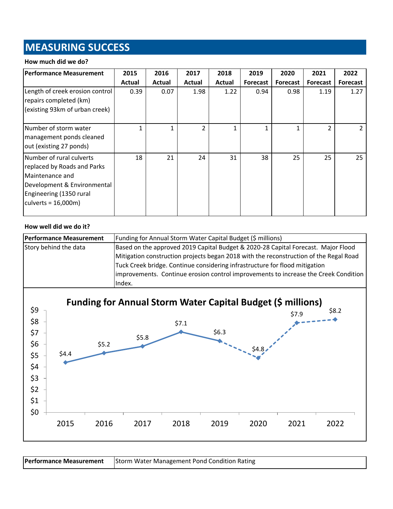# **MEASURING SUCCESS**

#### **How much did we do?**

| <b>Performance Measurement</b>                                                                                                                                 | 2015   | 2016   | 2017           | 2018   | 2019     | 2020            | 2021            | 2022            |
|----------------------------------------------------------------------------------------------------------------------------------------------------------------|--------|--------|----------------|--------|----------|-----------------|-----------------|-----------------|
|                                                                                                                                                                | Actual | Actual | Actual         | Actual | Forecast | <b>Forecast</b> | <b>Forecast</b> | <b>Forecast</b> |
| Length of creek erosion control<br>repairs completed (km)<br>(existing 93km of urban creek)                                                                    | 0.39   | 0.07   | 1.98           | 1.22   | 0.94     | 0.98            | 1.19            | 1.27            |
| Number of storm water<br>management ponds cleaned<br>out (existing 27 ponds)                                                                                   |        | 1      | $\mathfrak{p}$ | 1      |          | 1               | $\mathfrak{p}$  | $\mathcal{L}$   |
| Number of rural culverts<br>replaced by Roads and Parks<br>Maintenance and<br>Development & Environmental<br>Engineering (1350 rural<br>culverts = $16,000m$ ) | 18     | 21     | 24             | 31     | 38       | 25              | 25              | 25              |

#### **How well did we do it?**

| <b>Performance Measurement</b> | Funding for Annual Storm Water Capital Budget (\$ millions)                           |  |  |  |  |
|--------------------------------|---------------------------------------------------------------------------------------|--|--|--|--|
| Story behind the data          | Based on the approved 2019 Capital Budget & 2020-28 Capital Forecast. Major Flood     |  |  |  |  |
|                                | Mitigation construction projects began 2018 with the reconstruction of the Regal Road |  |  |  |  |
|                                | Tuck Creek bridge. Continue considering infrastructure for flood mitigation           |  |  |  |  |
|                                | improvements. Continue erosion control improvements to increase the Creek Condition   |  |  |  |  |
|                                | Index.                                                                                |  |  |  |  |



**Performance Measurement** Storm Water Management Pond Condition Rating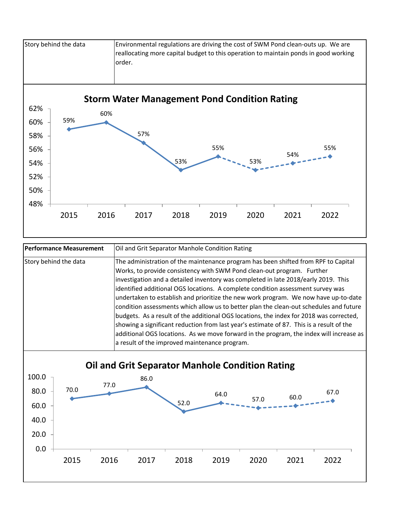

| Performance Measurement | Oil and Grit Separator Manhole Condition Rating                                                                                                                                                                                                                                                                                                                                                                                                                                                                                                                                                                                                                                                                                                                                                                                                           |  |  |  |  |
|-------------------------|-----------------------------------------------------------------------------------------------------------------------------------------------------------------------------------------------------------------------------------------------------------------------------------------------------------------------------------------------------------------------------------------------------------------------------------------------------------------------------------------------------------------------------------------------------------------------------------------------------------------------------------------------------------------------------------------------------------------------------------------------------------------------------------------------------------------------------------------------------------|--|--|--|--|
| Story behind the data   | The administration of the maintenance program has been shifted from RPF to Capital<br>Works, to provide consistency with SWM Pond clean-out program. Further<br>investigation and a detailed inventory was completed in late 2018/early 2019. This<br>identified additional OGS locations. A complete condition assessment survey was<br>undertaken to establish and prioritize the new work program. We now have up-to-date<br>condition assessments which allow us to better plan the clean-out schedules and future<br>budgets. As a result of the additional OGS locations, the index for 2018 was corrected,<br>showing a significant reduction from last year's estimate of 87. This is a result of the<br>additional OGS locations. As we move forward in the program, the index will increase as<br>a result of the improved maintenance program. |  |  |  |  |